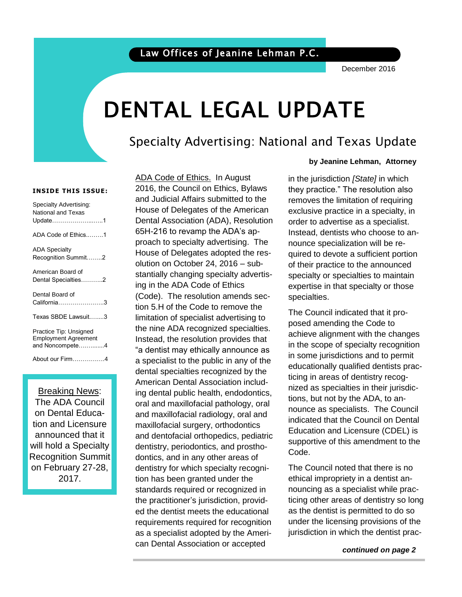### Law Offices of Jeanine Lehman P.C.

December 2016

# DENTAL LEGAL UPDATE

### Specialty Advertising: National and Texas Update

#### **INSIDE THIS ISSUE:**

| Specialty Advertising:<br><b>National and Texas</b><br>Update1           |
|--------------------------------------------------------------------------|
| ADA Code of Ethics1                                                      |
| <b>ADA Specialty</b><br>Recognition Summit2                              |
| American Board of<br>Dental Specialties2                                 |
| Dental Board of<br>California3                                           |
| Texas SBDE Lawsuit3                                                      |
| Practice Tip: Unsigned<br><b>Employment Agreement</b><br>and Noncompete4 |
| About our Firm4                                                          |

#### Breaking News:

The ADA Council on Dental Education and Licensure announced that it will hold a Specialty Recognition Summit on February 27-28, 2017.

ADA Code of Ethics. In August 2016, the Council on Ethics, Bylaws and Judicial Affairs submitted to the House of Delegates of the American Dental Association (ADA), Resolution 65H-216 to revamp the ADA's approach to specialty advertising. The House of Delegates adopted the resolution on October 24, 2016 – substantially changing specialty advertising in the ADA Code of Ethics (Code). The resolution amends section 5.H of the Code to remove the limitation of specialist advertising to the nine ADA recognized specialties. Instead, the resolution provides that "a dentist may ethically announce as a specialist to the public in any of the dental specialties recognized by the American Dental Association including dental public health, endodontics, oral and maxillofacial pathology, oral and maxillofacial radiology, oral and maxillofacial surgery, orthodontics and dentofacial orthopedics, pediatric dentistry, periodontics, and prosthodontics, and in any other areas of dentistry for which specialty recognition has been granted under the standards required or recognized in the practitioner's jurisdiction, provided the dentist meets the educational requirements required for recognition as a specialist adopted by the American Dental Association or accepted

#### **by Jeanine Lehman, Attorney**

 removes the limitation of requiring order to advertise as a specialist. motowa, women mile one core to in the jurisdiction *[State]* in which they practice." The resolution also exclusive practice in a specialty, in Instead, dentists who choose to anquired to devote a sufficient portion of their practice to the announced specialty or specialties to maintain expertise in that specialty or those specialties.

The Council indicated that it proposed amending the Code to achieve alignment with the changes in the scope of specialty recognition in some jurisdictions and to permit educationally qualified dentists practicing in areas of dentistry recognized as specialties in their jurisdictions, but not by the ADA, to announce as specialists. The Council indicated that the Council on Dental Education and Licensure (CDEL) is supportive of this amendment to the Code.

 ticing other areas of dentistry so long The Council noted that there is no ethical impropriety in a dentist announcing as a specialist while pracas the dentist is permitted to do so under the licensing provisions of the jurisdiction in which the dentist prac-

 *continued on page 2*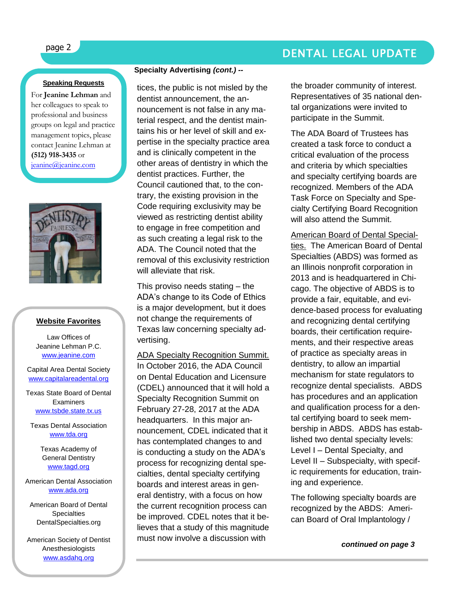## page 2 DENTAL LEGAL UPDATE

#### **Speaking Requests**

For **Jeanine Lehman** and her colleagues to speak to professional and business groups on legal and practice management topics, please contact Jeanine Lehman at **(512) 918-3435** or [jeanine@jeanine.com](mailto:jeanine@jeanine.com)



ì

#### **Website Favorites**

Law Offices of Jeanine Lehman P.C. [www.jeanine.com](http://www.jeanine.com/)

Capital Area Dental Society [www.capitalareadental.org](http://www.capitalareadental.org/)

Texas State Board of Dental **Examiners** [www.tsbde.state.tx.us](http://www.tsbde.state.tx.us/)

Texas Dental Association [www.tda.org](http://www.tda.org/)

> Texas Academy of General Dentistry [www.tagd.org](http://www.tagd.org/)

American Dental Association [www.ada.org](http://www.ada.org/)

American Board of Dental **Specialties** DentalSpecialties.org

American Society of Dentist Anesthesiologists [www.asdahq.org](http://www.asdahq.org/)

#### **Specialty Advertising** *(cont.) --*

tices, the public is not misled by the dentist announcement, the announcement is not false in any material respect, and the dentist maintains his or her level of skill and expertise in the specialty practice area and is clinically competent in the other areas of dentistry in which the dentist practices. Further, the Council cautioned that, to the contrary, the existing provision in the Code requiring exclusivity may be viewed as restricting dentist ability to engage in free competition and as such creating a legal risk to the ADA. The Council noted that the removal of this exclusivity restriction will alleviate that risk.

This proviso needs stating – the ADA's change to its Code of Ethics is a major development, but it does not change the requirements of Texas law concerning specialty advertising.

ADA Specialty Recognition Summit. In October 2016, the ADA Council on Dental Education and Licensure (CDEL) announced that it will hold a Specialty Recognition Summit on February 27-28, 2017 at the ADA headquarters. In this major announcement, CDEL indicated that it has contemplated changes to and is conducting a study on the ADA's process for recognizing dental specialties, dental specialty certifying boards and interest areas in general dentistry, with a focus on how the current recognition process can be improved. CDEL notes that it believes that a study of this magnitude must now involve a discussion with

the broader community of interest. Representatives of 35 national dental organizations were invited to participate in the Summit.

The ADA Board of Trustees has created a task force to conduct a critical evaluation of the process and criteria by which specialties and specialty certifying boards are recognized. Members of the ADA Task Force on Specialty and Specialty Certifying Board Recognition will also attend the Summit.

American Board of Dental Specialties. The American Board of Dental Specialties (ABDS) was formed as an Illinois nonprofit corporation in 2013 and is headquartered in Chicago. The objective of ABDS is to provide a fair, equitable, and evidence-based process for evaluating and recognizing dental certifying boards, their certification requirements, and their respective areas of practice as specialty areas in dentistry, to allow an impartial mechanism for state regulators to recognize dental specialists. ABDS has procedures and an application and qualification process for a dental certifying board to seek membership in ABDS. ABDS has established two dental specialty levels: Level I – Dental Specialty, and Level II – Subspecialty, with specific requirements for education, training and experience.

The following specialty boards are recognized by the ABDS: American Board of Oral Implantology /

 *continued on page 3*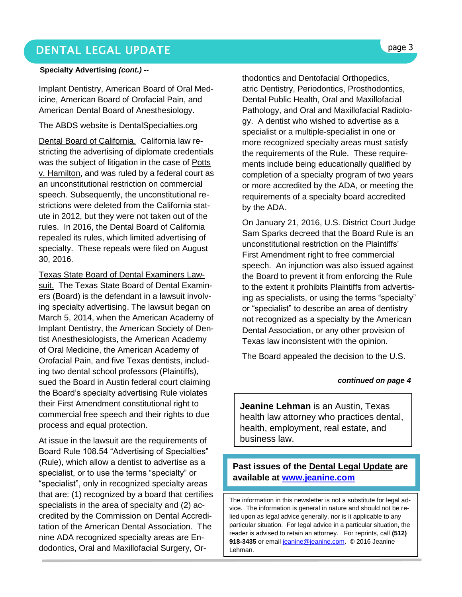### DENTAL LEGAL UPDATE **page 3**

#### **Specialty Advertising** *(cont.) --*

Implant Dentistry, American Board of Oral Medicine, American Board of Orofacial Pain, and American Dental Board of Anesthesiology.

#### The ABDS website is DentalSpecialties.org

Dental Board of California. California law restricting the advertising of diplomate credentials was the subject of litigation in the case of Potts v. Hamilton, and was ruled by a federal court as an unconstitutional restriction on commercial speech. Subsequently, the unconstitutional restrictions were deleted from the California statute in 2012, but they were not taken out of the rules. In 2016, the Dental Board of California repealed its rules, which limited advertising of specialty. These repeals were filed on August 30, 2016.

Texas State Board of Dental Examiners Lawsuit. The Texas State Board of Dental Examiners (Board) is the defendant in a lawsuit involving specialty advertising. The lawsuit began on March 5, 2014, when the American Academy of Implant Dentistry, the American Society of Dentist Anesthesiologists, the American Academy of Oral Medicine, the American Academy of Orofacial Pain, and five Texas dentists, including two dental school professors (Plaintiffs), sued the Board in Austin federal court claiming the Board's specialty advertising Rule violates their First Amendment constitutional right to commercial free speech and their rights to due process and equal protection.

At issue in the lawsuit are the requirements of Board Rule 108.54 "Advertising of Specialties" (Rule), which allow a dentist to advertise as a specialist, or to use the terms "specialty" or "specialist", only in recognized specialty areas that are: (1) recognized by a board that certifies specialists in the area of specialty and (2) accredited by the Commission on Dental Accreditation of the American Dental Association. The nine ADA recognized specialty areas are Endodontics, Oral and Maxillofacial Surgery, Orthodontics and Dentofacial Orthopedics, atric Dentistry, Periodontics, Prosthodontics, Dental Public Health, Oral and Maxillofacial Pathology, and Oral and Maxillofacial Radiology. A dentist who wished to advertise as a specialist or a multiple-specialist in one or more recognized specialty areas must satisfy the requirements of the Rule. These requirements include being educationally qualified by completion of a specialty program of two years or more accredited by the ADA, or meeting the requirements of a specialty board accredited by the ADA.

On January 21, 2016, U.S. District Court Judge Sam Sparks decreed that the Board Rule is an unconstitutional restriction on the Plaintiffs' First Amendment right to free commercial speech. An injunction was also issued against the Board to prevent it from enforcing the Rule to the extent it prohibits Plaintiffs from advertising as specialists, or using the terms "specialty" or "specialist" to describe an area of dentistry not recognized as a specialty by the American Dental Association, or any other provision of Texas law inconsistent with the opinion.

The Board appealed the decision to the U.S.

#### *continued on page 4*

**Jeanine Lehman** is an Austin, Texas health law attorney who practices dental, health, employment, real estate, and business law.

#### **Past issues of the Dental Legal Update are available at [www.jeanine.com](http://www.jeanine.com/)**

The information in this newsletter is not a substitute for legal advice. The information is general in nature and should not be relied upon as legal advice generally, nor is it applicable to any particular situation. For legal advice in a particular situation, the reader is advised to retain an attorney. For reprints, call **(512)**  918-3435 or email [jeanine@jeanine.com.](mailto:jeanine@jeanine.com) © 2016 Jeanine Lehman.